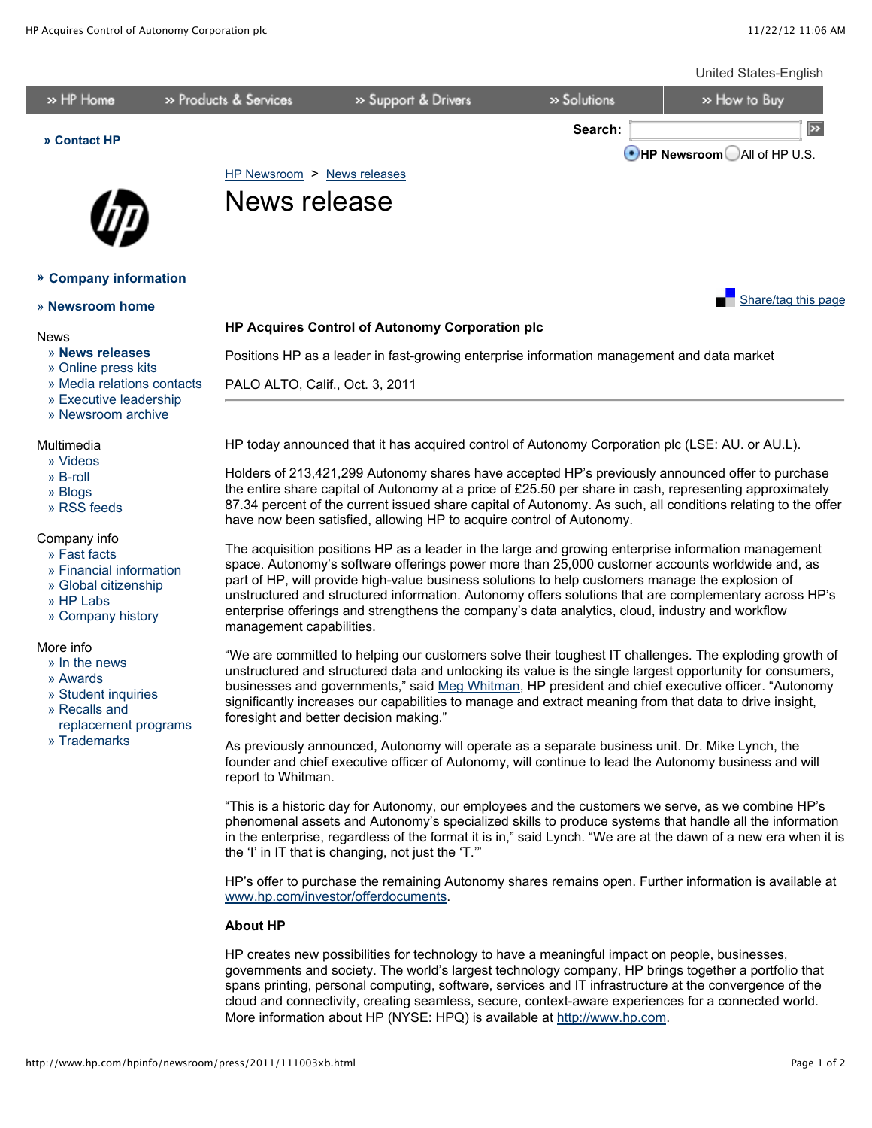

## **About HP**

HP creates new possibilities for technology to have a meaningful impact on people, businesses, governments and society. The world's largest technology company, HP brings together a portfolio that spans printing, personal computing, software, services and IT infrastructure at the convergence of the cloud and connectivity, creating seamless, secure, context-aware experiences for a connected world. More information about HP (NYSE: HPQ) is available at [http://www.hp.com.](http://www.hp.com/)